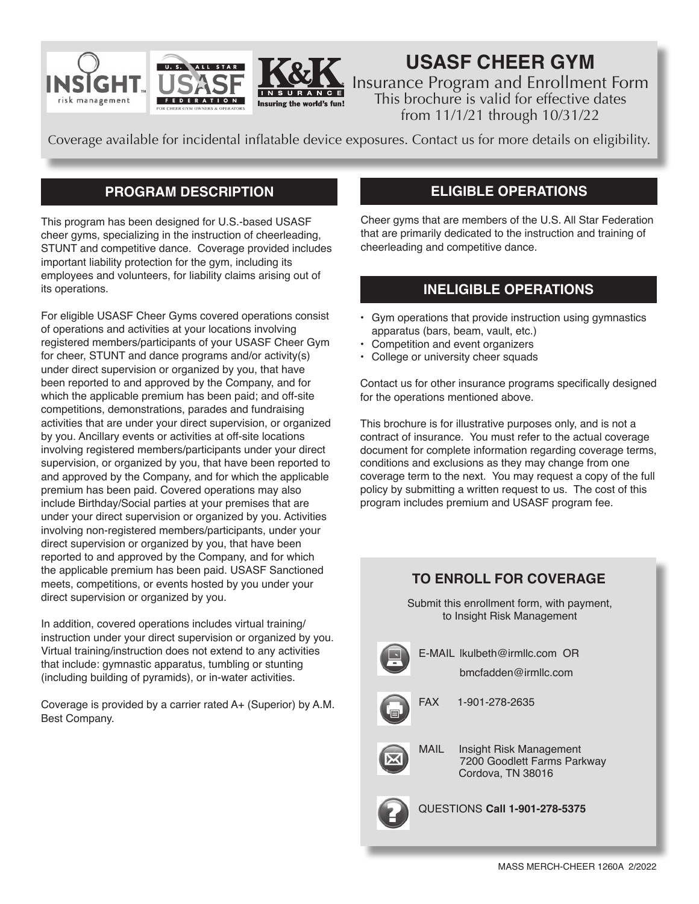



# **USASF CHEER GYM**

Insurance Program and Enrollment Form This brochure is valid for effective dates from 11/1/21 through 10/31/22

Coverage available for incidental inflatable device exposures. Contact us for more details on eligibility.

URANCE

# **PROGRAM DESCRIPTION**

This program has been designed for U.S.-based USASF cheer gyms, specializing in the instruction of cheerleading, STUNT and competitive dance. Coverage provided includes important liability protection for the gym, including its employees and volunteers, for liability claims arising out of its operations.

For eligible USASF Cheer Gyms covered operations consist of operations and activities at your locations involving registered members/participants of your USASF Cheer Gym for cheer, STUNT and dance programs and/or activity(s) under direct supervision or organized by you, that have been reported to and approved by the Company, and for which the applicable premium has been paid; and off-site competitions, demonstrations, parades and fundraising activities that are under your direct supervision, or organized by you. Ancillary events or activities at off-site locations involving registered members/participants under your direct supervision, or organized by you, that have been reported to and approved by the Company, and for which the applicable premium has been paid. Covered operations may also include Birthday/Social parties at your premises that are under your direct supervision or organized by you. Activities involving non-registered members/participants, under your direct supervision or organized by you, that have been reported to and approved by the Company, and for which the applicable premium has been paid. USASF Sanctioned meets, competitions, or events hosted by you under your direct supervision or organized by you.

In addition, covered operations includes virtual training/ instruction under your direct supervision or organized by you. Virtual training/instruction does not extend to any activities that include: gymnastic apparatus, tumbling or stunting (including building of pyramids), or in-water activities.

Coverage is provided by a carrier rated A+ (Superior) by A.M. Best Company.

# **ELIGIBLE OPERATIONS**

Cheer gyms that are members of the U.S. All Star Federation that are primarily dedicated to the instruction and training of cheerleading and competitive dance.

# **INELIGIBLE OPERATIONS**

- Gym operations that provide instruction using gymnastics apparatus (bars, beam, vault, etc.)
- Competition and event organizers
- College or university cheer squads

Contact us for other insurance programs specifically designed for the operations mentioned above.

This brochure is for illustrative purposes only, and is not a contract of insurance. You must refer to the actual coverage document for complete information regarding coverage terms, conditions and exclusions as they may change from one coverage term to the next. You may request a copy of the full policy by submitting a written request to us. The cost of this program includes premium and USASF program fee.

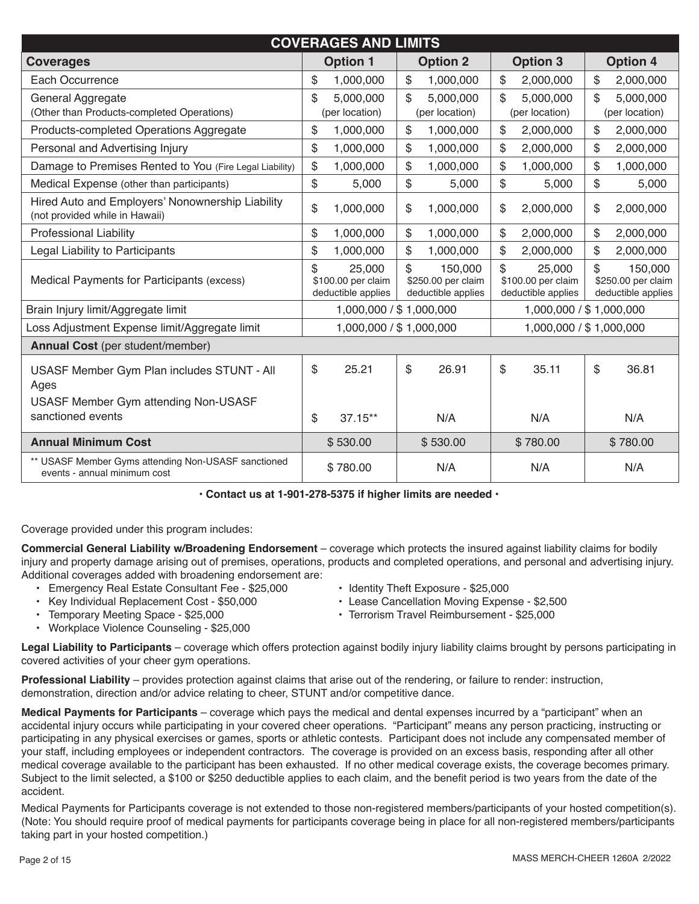| <b>COVERAGES AND LIMITS</b>                                                         |                    |                          |                    |                         |  |  |  |
|-------------------------------------------------------------------------------------|--------------------|--------------------------|--------------------|-------------------------|--|--|--|
| <b>Coverages</b>                                                                    | <b>Option 1</b>    | <b>Option 2</b>          | <b>Option 3</b>    | <b>Option 4</b>         |  |  |  |
| Each Occurrence                                                                     | \$                 | $\$\$                    | $\$\$              | \$                      |  |  |  |
|                                                                                     | 1,000,000          | 1,000,000                | 2,000,000          | 2,000,000               |  |  |  |
| General Aggregate                                                                   | \$                 | \$                       | 5,000,000          | 5,000,000               |  |  |  |
|                                                                                     | 5,000,000          | 5,000,000                | \$                 | \$                      |  |  |  |
| (Other than Products-completed Operations)                                          | (per location)     | (per location)           | (per location)     | (per location)          |  |  |  |
| Products-completed Operations Aggregate                                             | \$                 | \$                       | \$                 | \$                      |  |  |  |
|                                                                                     | 1,000,000          | 1,000,000                | 2,000,000          | 2,000,000               |  |  |  |
| Personal and Advertising Injury                                                     | \$                 | \$                       | \$                 | \$                      |  |  |  |
|                                                                                     | 1,000,000          | 1,000,000                | 2,000,000          | 2,000,000               |  |  |  |
| Damage to Premises Rented to You (Fire Legal Liability)                             | \$                 | \$                       | \$                 | \$                      |  |  |  |
|                                                                                     | 1,000,000          | 1,000,000                | 1,000,000          | 1,000,000               |  |  |  |
| Medical Expense (other than participants)                                           | \$                 | \$                       | \$                 | \$                      |  |  |  |
|                                                                                     | 5,000              | 5,000                    | 5,000              | 5,000                   |  |  |  |
| Hired Auto and Employers' Nonownership Liability                                    | \$                 | 1,000,000                | 2,000,000          | 2,000,000               |  |  |  |
| (not provided while in Hawaii)                                                      | 1,000,000          | \$                       | \$                 | \$                      |  |  |  |
| <b>Professional Liability</b>                                                       | \$                 | \$                       | \$                 | \$                      |  |  |  |
|                                                                                     | 1,000,000          | 1,000,000                | 2,000,000          | 2,000,000               |  |  |  |
| Legal Liability to Participants                                                     | \$                 | \$                       | \$                 | \$                      |  |  |  |
|                                                                                     | 1,000,000          | 1,000,000                | 2,000,000          | 2,000,000               |  |  |  |
| Medical Payments for Participants (excess)                                          | \$                 | \$                       | \$                 | \$                      |  |  |  |
|                                                                                     | 25,000             | 150,000                  | 25,000             | 150,000                 |  |  |  |
|                                                                                     | \$100.00 per claim | \$250.00 per claim       | \$100.00 per claim | \$250.00 per claim      |  |  |  |
|                                                                                     | deductible applies | deductible applies       | deductible applies | deductible applies      |  |  |  |
| Brain Injury limit/Aggregate limit                                                  |                    | 1,000,000 / \$ 1,000,000 |                    | 1,000,000 / \$1,000,000 |  |  |  |
| Loss Adjustment Expense limit/Aggregate limit                                       |                    | 1,000,000 / \$1,000,000  |                    | 1,000,000 / \$1,000,000 |  |  |  |
| Annual Cost (per student/member)                                                    |                    |                          |                    |                         |  |  |  |
| USASF Member Gym Plan includes STUNT - All                                          | \$                 | \$                       | \$                 | \$                      |  |  |  |
| Ages                                                                                | 25.21              | 26.91                    | 35.11              | 36.81                   |  |  |  |
| USASF Member Gym attending Non-USASF<br>sanctioned events                           | \$<br>37.15**      | N/A                      | N/A                | N/A                     |  |  |  |
| <b>Annual Minimum Cost</b>                                                          | \$530.00           | \$530.00                 | \$780.00           | \$780.00                |  |  |  |
| ** USASF Member Gyms attending Non-USASF sanctioned<br>events - annual minimum cost | \$780.00           | N/A                      | N/A                | N/A                     |  |  |  |

| · Contact us at 1-901-278-5375 if higher limits are needed · |
|--------------------------------------------------------------|
|--------------------------------------------------------------|

Coverage provided under this program includes:

**Commercial General Liability w/Broadening Endorsement** – coverage which protects the insured against liability claims for bodily injury and property damage arising out of premises, operations, products and completed operations, and personal and advertising injury. Additional coverages added with broadening endorsement are:

- Emergency Real Estate Consultant Fee \$25,000 Identity Theft Exposure \$25,000<br>• Key Individual Replacement Cost \$50,000 Lease Cancellation Moving Exper
- -
- 
- Key Individual Replacement Cost \$50,000 Lease Cancellation Moving Expense \$2,500 • Terrorism Travel Reimbursement - \$25,000
- 
- Workplace Violence Counseling \$25,000

**Legal Liability to Participants** – coverage which offers protection against bodily injury liability claims brought by persons participating in covered activities of your cheer gym operations.

**Professional Liability** – provides protection against claims that arise out of the rendering, or failure to render: instruction, demonstration, direction and/or advice relating to cheer, STUNT and/or competitive dance.

**Medical Payments for Participants** – coverage which pays the medical and dental expenses incurred by a "participant" when an accidental injury occurs while participating in your covered cheer operations. "Participant" means any person practicing, instructing or participating in any physical exercises or games, sports or athletic contests. Participant does not include any compensated member of your staff, including employees or independent contractors. The coverage is provided on an excess basis, responding after all other medical coverage available to the participant has been exhausted. If no other medical coverage exists, the coverage becomes primary. Subject to the limit selected, a \$100 or \$250 deductible applies to each claim, and the benefit period is two years from the date of the accident.

Medical Payments for Participants coverage is not extended to those non-registered members/participants of your hosted competition(s). (Note: You should require proof of medical payments for participants coverage being in place for all non-registered members/participants taking part in your hosted competition.)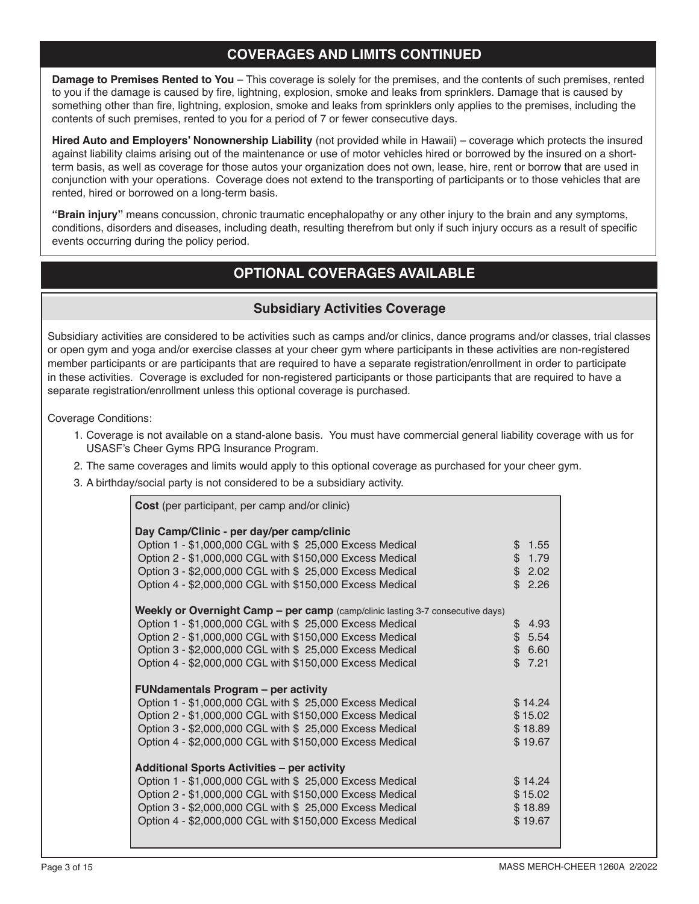# **COVERAGES AND LIMITS CONTINUED**

**Damage to Premises Rented to You** – This coverage is solely for the premises, and the contents of such premises, rented to you if the damage is caused by fire, lightning, explosion, smoke and leaks from sprinklers. Damage that is caused by something other than fire, lightning, explosion, smoke and leaks from sprinklers only applies to the premises, including the contents of such premises, rented to you for a period of 7 or fewer consecutive days.

**Hired Auto and Employers' Nonownership Liability** (not provided while in Hawaii) – coverage which protects the insured against liability claims arising out of the maintenance or use of motor vehicles hired or borrowed by the insured on a shortterm basis, as well as coverage for those autos your organization does not own, lease, hire, rent or borrow that are used in conjunction with your operations. Coverage does not extend to the transporting of participants or to those vehicles that are rented, hired or borrowed on a long-term basis.

**"Brain injury"** means concussion, chronic traumatic encephalopathy or any other injury to the brain and any symptoms, conditions, disorders and diseases, including death, resulting therefrom but only if such injury occurs as a result of specific events occurring during the policy period.

# **OPTIONAL COVERAGES AVAILABLE**

## **Subsidiary Activities Coverage**

Subsidiary activities are considered to be activities such as camps and/or clinics, dance programs and/or classes, trial classes or open gym and yoga and/or exercise classes at your cheer gym where participants in these activities are non-registered member participants or are participants that are required to have a separate registration/enrollment in order to participate in these activities. Coverage is excluded for non-registered participants or those participants that are required to have a separate registration/enrollment unless this optional coverage is purchased.

Coverage Conditions:

- 1. Coverage is not available on a stand-alone basis. You must have commercial general liability coverage with us for USASF's Cheer Gyms RPG Insurance Program.
- 2. The same coverages and limits would apply to this optional coverage as purchased for your cheer gym.
- 3. A birthday/social party is not considered to be a subsidiary activity.

| Cost (per participant, per camp and/or clinic)                                 |            |  |
|--------------------------------------------------------------------------------|------------|--|
| Day Camp/Clinic - per day/per camp/clinic                                      |            |  |
| Option 1 - \$1,000,000 CGL with \$ 25,000 Excess Medical                       | \$1.55     |  |
| Option 2 - \$1,000,000 CGL with \$150,000 Excess Medical                       | \$1.79     |  |
| Option 3 - \$2,000,000 CGL with \$ 25,000 Excess Medical                       | \$2.02     |  |
| Option 4 - \$2,000,000 CGL with \$150,000 Excess Medical                       | \$2.26     |  |
| Weekly or Overnight Camp - per camp (camp/clinic lasting 3-7 consecutive days) |            |  |
| Option 1 - \$1,000,000 CGL with \$ 25,000 Excess Medical                       | \$<br>4.93 |  |
| Option 2 - \$1,000,000 CGL with \$150,000 Excess Medical                       | \$5.54     |  |
| Option 3 - \$2,000,000 CGL with \$ 25,000 Excess Medical                       | \$6.60     |  |
| Option 4 - \$2,000,000 CGL with \$150,000 Excess Medical                       | \$7.21     |  |
| <b>FUNdamentals Program - per activity</b>                                     |            |  |
| Option 1 - \$1,000,000 CGL with \$ 25,000 Excess Medical                       | \$14.24    |  |
| Option 2 - \$1,000,000 CGL with \$150,000 Excess Medical                       | \$15.02    |  |
| Option 3 - \$2,000,000 CGL with \$ 25,000 Excess Medical                       | \$18.89    |  |
| Option 4 - \$2,000,000 CGL with \$150,000 Excess Medical                       | \$19.67    |  |
| <b>Additional Sports Activities - per activity</b>                             |            |  |
| Option 1 - \$1,000,000 CGL with \$ 25,000 Excess Medical                       | \$14.24    |  |
| Option 2 - \$1,000,000 CGL with \$150,000 Excess Medical                       | \$15.02    |  |
| Option 3 - \$2,000,000 CGL with \$ 25,000 Excess Medical                       | \$18.89    |  |
| Option 4 - \$2,000,000 CGL with \$150,000 Excess Medical                       | \$19.67    |  |
|                                                                                |            |  |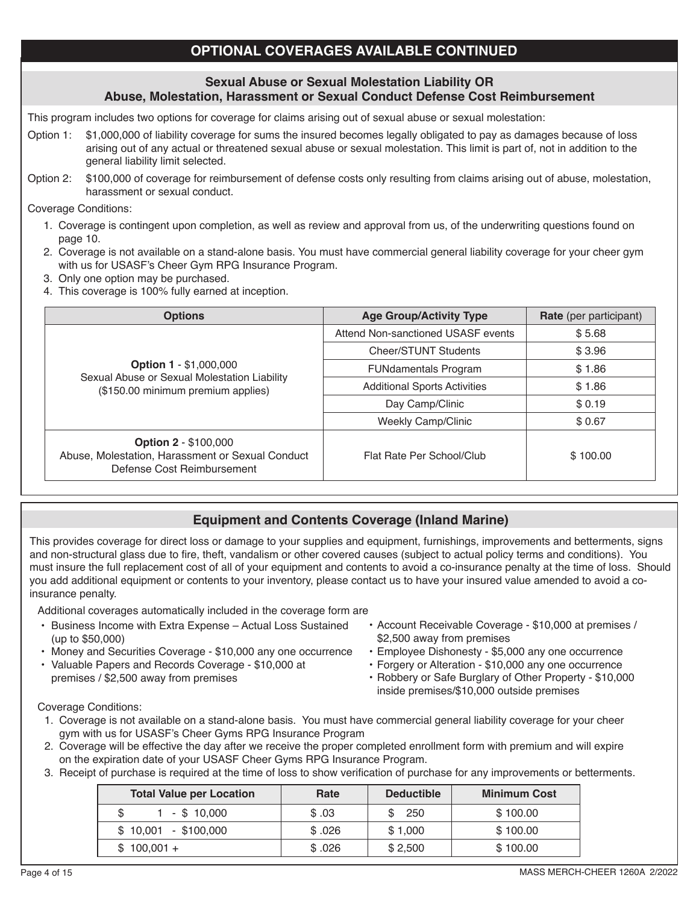# **OPTIONAL COVERAGES AVAILABLE CONTINUED**

### **Sexual Abuse or Sexual Molestation Liability OR Abuse, Molestation, Harassment or Sexual Conduct Defense Cost Reimbursement**

This program includes two options for coverage for claims arising out of sexual abuse or sexual molestation:

- Option 1: \$1,000,000 of liability coverage for sums the insured becomes legally obligated to pay as damages because of loss arising out of any actual or threatened sexual abuse or sexual molestation. This limit is part of, not in addition to the general liability limit selected.
- Option 2: \$100,000 of coverage for reimbursement of defense costs only resulting from claims arising out of abuse, molestation, harassment or sexual conduct.

Coverage Conditions:

֖֖֖֖֖֖֖֚֚֚֚֚֚֚֚֚֚֚֚֚֚֚֬֡֡֡֡֡֡֬֝֬

- 1. Coverage is contingent upon completion, as well as review and approval from us, of the underwriting questions found on page 10.
- 2. Coverage is not available on a stand-alone basis. You must have commercial general liability coverage for your cheer gym with us for USASF's Cheer Gym RPG Insurance Program.
- 3. Only one option may be purchased.
- 4. This coverage is 100% fully earned at inception.

| <b>Options</b>                                                                                                | <b>Age Group/Activity Type</b>      | <b>Rate</b> (per participant) |
|---------------------------------------------------------------------------------------------------------------|-------------------------------------|-------------------------------|
|                                                                                                               | Attend Non-sanctioned USASF events  | \$5.68                        |
|                                                                                                               | <b>Cheer/STUNT Students</b>         | \$3.96                        |
| <b>Option 1 - \$1,000,000</b>                                                                                 | <b>FUNdamentals Program</b>         | \$1.86                        |
| Sexual Abuse or Sexual Molestation Liability<br>(\$150.00 minimum premium applies)                            | <b>Additional Sports Activities</b> | \$1.86                        |
|                                                                                                               | Day Camp/Clinic                     | \$0.19                        |
|                                                                                                               | <b>Weekly Camp/Clinic</b>           | \$0.67                        |
| <b>Option 2 - \$100,000</b><br>Abuse, Molestation, Harassment or Sexual Conduct<br>Defense Cost Reimbursement | Flat Rate Per School/Club           | \$100.00                      |

# **Equipment and Contents Coverage (Inland Marine)**

This provides coverage for direct loss or damage to your supplies and equipment, furnishings, improvements and betterments, signs and non-structural glass due to fire, theft, vandalism or other covered causes (subject to actual policy terms and conditions). You must insure the full replacement cost of all of your equipment and contents to avoid a co-insurance penalty at the time of loss. Should you add additional equipment or contents to your inventory, please contact us to have your insured value amended to avoid a coinsurance penalty.

Additional coverages automatically included in the coverage form are

- Business Income with Extra Expense Actual Loss Sustained (up to \$50,000)
- Money and Securities Coverage \$10,000 any one occurrence
- Valuable Papers and Records Coverage \$10,000 at premises / \$2,500 away from premises
- Account Receivable Coverage \$10,000 at premises / \$2,500 away from premises
- Employee Dishonesty \$5,000 any one occurrence
- Forgery or Alteration \$10,000 any one occurrence
- Robbery or Safe Burglary of Other Property \$10,000 inside premises/\$10,000 outside premises

Coverage Conditions:

- 1. Coverage is not available on a stand-alone basis. You must have commercial general liability coverage for your cheer gym with us for USASF's Cheer Gyms RPG Insurance Program
- 2. Coverage will be effective the day after we receive the proper completed enrollment form with premium and will expire on the expiration date of your USASF Cheer Gyms RPG Insurance Program.
- 3. Receipt of purchase is required at the time of loss to show verification of purchase for any improvements or betterments.

| <b>Total Value per Location</b> | Rate   | <b>Deductible</b> | <b>Minimum Cost</b> |  |  |
|---------------------------------|--------|-------------------|---------------------|--|--|
| 1 - \$ 10.000                   | \$.03  | - 250             | \$100.00            |  |  |
| $$10,001$ - \$100,000           | \$.026 | \$1,000           | \$100.00            |  |  |
| $$100.001 +$                    | \$.026 | \$2,500           | \$100.00            |  |  |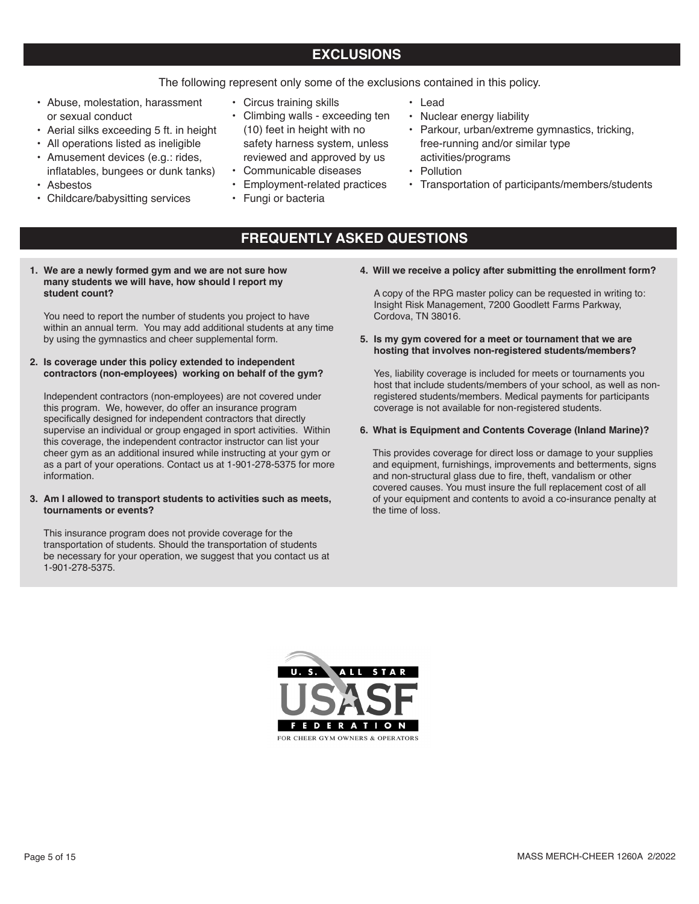# **EXCLUSIONS**

The following represent only some of the exclusions contained in this policy.

- Abuse, molestation, harassment or sexual conduct
- Aerial silks exceeding 5 ft. in height
- All operations listed as ineligible
- Amusement devices (e.g.: rides, inflatables, bungees or dunk tanks)
- Asbestos
- Childcare/babysitting services
- Circus training skills
- Climbing walls exceeding ten (10) feet in height with no safety harness system, unless reviewed and approved by us
- Communicable diseases
- Employment-related practices
- Fungi or bacteria
- Lead
- Nuclear energy liability
- Parkour, urban/extreme gymnastics, tricking, free-running and/or similar type activities/programs
- Pollution
- Transportation of participants/members/students
- **FREQUENTLY ASKED QUESTIONS**
- **1. We are a newly formed gym and we are not sure how many students we will have, how should I report my student count?**

You need to report the number of students you project to have within an annual term. You may add additional students at any time by using the gymnastics and cheer supplemental form.

**2. Is coverage under this policy extended to independent contractors (non-employees) working on behalf of the gym?**

Independent contractors (non-employees) are not covered under this program. We, however, do offer an insurance program specifically designed for independent contractors that directly supervise an individual or group engaged in sport activities. Within this coverage, the independent contractor instructor can list your cheer gym as an additional insured while instructing at your gym or as a part of your operations. Contact us at 1-901-278-5375 for more information.

#### **3. Am I allowed to transport students to activities such as meets, tournaments or events?**

This insurance program does not provide coverage for the transportation of students. Should the transportation of students be necessary for your operation, we suggest that you contact us at 1-901-278-5375.

**4. Will we receive a policy after submitting the enrollment form?**

A copy of the RPG master policy can be requested in writing to: Insight Risk Management, 7200 Goodlett Farms Parkway, Cordova, TN 38016.

**5. Is my gym covered for a meet or tournament that we are hosting that involves non-registered students/members?**

Yes, liability coverage is included for meets or tournaments you host that include students/members of your school, as well as nonregistered students/members. Medical payments for participants coverage is not available for non-registered students.

#### **6. What is Equipment and Contents Coverage (Inland Marine)?**

This provides coverage for direct loss or damage to your supplies and equipment, furnishings, improvements and betterments, signs and non-structural glass due to fire, theft, vandalism or other covered causes. You must insure the full replacement cost of all of your equipment and contents to avoid a co-insurance penalty at the time of loss.

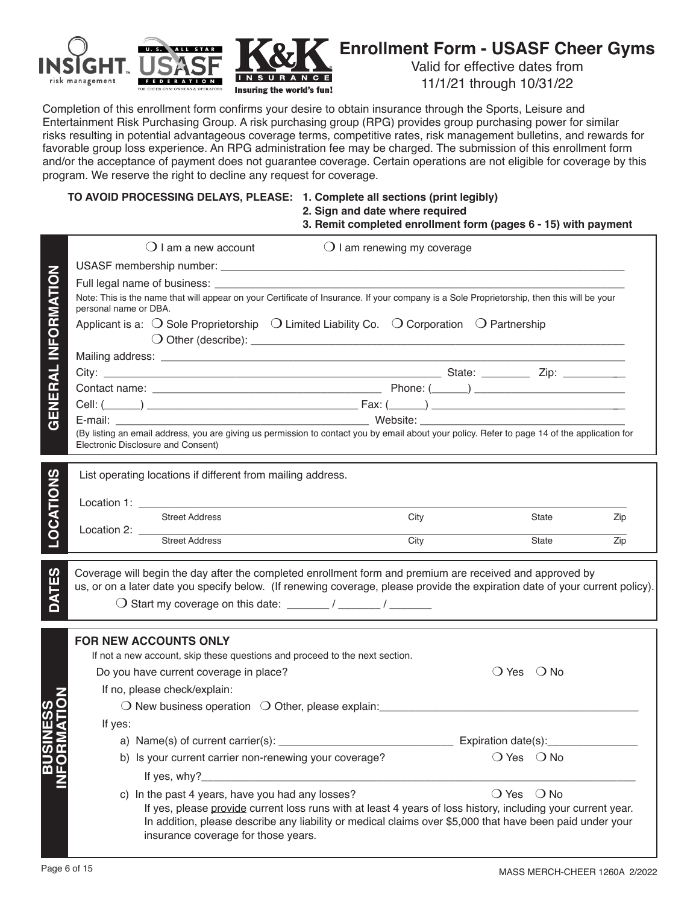

# **Enrollment Form - USASF Cheer Gyms**

Valid for effective dates from 11/1/21 through 10/31/22

Completion of this enrollment form confirms your desire to obtain insurance through the Sports, Leisure and Entertainment Risk Purchasing Group. A risk purchasing group (RPG) provides group purchasing power for similar risks resulting in potential advantageous coverage terms, competitive rates, risk management bulletins, and rewards for favorable group loss experience. An RPG administration fee may be charged. The submission of this enrollment form and/or the acceptance of payment does not guarantee coverage. Certain operations are not eligible for coverage by this program. We reserve the right to decline any request for coverage.

### **TO AVOID PROCESSING DELAYS, PLEASE: 1. Complete all sections (print legibly)**

 **2. Sign and date where required**

 **3. Remit completed enrollment form (pages 6 - 15) with payment**

|                            |                       | $\bigcirc$ I am a new account                                                                                                                                                       |                                                                                                                                                                                                                          | $\bigcirc$ I am renewing my coverage |                              |                              |     |
|----------------------------|-----------------------|-------------------------------------------------------------------------------------------------------------------------------------------------------------------------------------|--------------------------------------------------------------------------------------------------------------------------------------------------------------------------------------------------------------------------|--------------------------------------|------------------------------|------------------------------|-----|
|                            |                       |                                                                                                                                                                                     |                                                                                                                                                                                                                          |                                      |                              |                              |     |
|                            |                       |                                                                                                                                                                                     |                                                                                                                                                                                                                          |                                      |                              |                              |     |
|                            | personal name or DBA. | Note: This is the name that will appear on your Certificate of Insurance. If your company is a Sole Proprietorship, then this will be your                                          |                                                                                                                                                                                                                          |                                      |                              |                              |     |
| <b>GENERAL INFORMATION</b> |                       | Applicant is a: $\bigcirc$ Sole Proprietorship $\bigcirc$ Limited Liability Co. $\bigcirc$ Corporation $\bigcirc$ Partnership                                                       |                                                                                                                                                                                                                          |                                      |                              |                              |     |
|                            |                       |                                                                                                                                                                                     |                                                                                                                                                                                                                          |                                      |                              |                              |     |
|                            |                       |                                                                                                                                                                                     |                                                                                                                                                                                                                          |                                      |                              |                              |     |
|                            |                       |                                                                                                                                                                                     |                                                                                                                                                                                                                          |                                      |                              |                              |     |
|                            |                       |                                                                                                                                                                                     |                                                                                                                                                                                                                          |                                      |                              |                              |     |
|                            |                       |                                                                                                                                                                                     |                                                                                                                                                                                                                          |                                      |                              |                              |     |
|                            |                       | (By listing an email address, you are giving us permission to contact you by email about your policy. Refer to page 14 of the application for<br>Electronic Disclosure and Consent) |                                                                                                                                                                                                                          |                                      |                              |                              |     |
|                            |                       | List operating locations if different from mailing address.                                                                                                                         |                                                                                                                                                                                                                          |                                      |                              |                              |     |
|                            |                       |                                                                                                                                                                                     |                                                                                                                                                                                                                          |                                      |                              |                              |     |
|                            |                       |                                                                                                                                                                                     |                                                                                                                                                                                                                          |                                      |                              |                              |     |
|                            |                       | <b>Street Address</b>                                                                                                                                                               |                                                                                                                                                                                                                          | City                                 |                              | State                        | Zip |
| <b>LOCATIONS</b>           |                       | Location 2: $\frac{1}{2}$<br>Street Address                                                                                                                                         |                                                                                                                                                                                                                          | City                                 |                              | State                        | Zip |
|                            |                       | Coverage will begin the day after the completed enrollment form and premium are received and approved by                                                                            |                                                                                                                                                                                                                          |                                      |                              |                              |     |
| DATES                      |                       | us, or on a later date you specify below. (If renewing coverage, please provide the expiration date of your current policy).                                                        |                                                                                                                                                                                                                          |                                      |                              |                              |     |
|                            |                       |                                                                                                                                                                                     |                                                                                                                                                                                                                          |                                      |                              |                              |     |
|                            |                       | <b>FOR NEW ACCOUNTS ONLY</b>                                                                                                                                                        |                                                                                                                                                                                                                          |                                      |                              |                              |     |
|                            |                       | If not a new account, skip these questions and proceed to the next section.                                                                                                         |                                                                                                                                                                                                                          |                                      |                              |                              |     |
|                            |                       | Do you have current coverage in place?                                                                                                                                              |                                                                                                                                                                                                                          |                                      |                              | $\bigcirc$ Yes $\bigcirc$ No |     |
|                            |                       | If no, please check/explain:                                                                                                                                                        |                                                                                                                                                                                                                          |                                      |                              |                              |     |
|                            |                       | O New business operation O Other, please explain: ______________________________                                                                                                    |                                                                                                                                                                                                                          |                                      |                              |                              |     |
|                            | If yes:               |                                                                                                                                                                                     |                                                                                                                                                                                                                          |                                      |                              |                              |     |
|                            |                       | a) Name(s) of current carrier(s): _________                                                                                                                                         |                                                                                                                                                                                                                          |                                      | Expiration date(s):          |                              |     |
|                            |                       | b) Is your current carrier non-renewing your coverage?                                                                                                                              |                                                                                                                                                                                                                          |                                      | $O$ Yes $O$ No               |                              |     |
|                            |                       | If yes, why?                                                                                                                                                                        |                                                                                                                                                                                                                          |                                      |                              |                              |     |
|                            |                       | c) In the past 4 years, have you had any losses?                                                                                                                                    |                                                                                                                                                                                                                          |                                      | $\bigcirc$ Yes $\bigcirc$ No |                              |     |
|                            |                       | insurance coverage for those years.                                                                                                                                                 | If yes, please provide current loss runs with at least 4 years of loss history, including your current year.<br>In addition, please describe any liability or medical claims over \$5,000 that have been paid under your |                                      |                              |                              |     |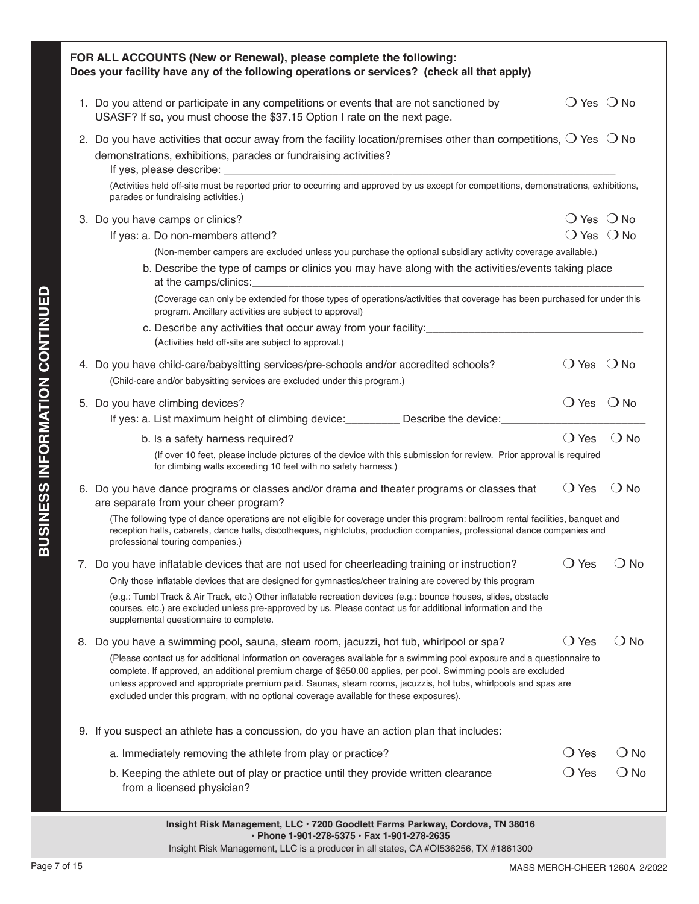| FOR ALL ACCOUNTS (New or Renewal), please complete the following:<br>Does your facility have any of the following operations or services? (check all that apply)                                                                                                                                                                                                                                                                                       |                              |                              |
|--------------------------------------------------------------------------------------------------------------------------------------------------------------------------------------------------------------------------------------------------------------------------------------------------------------------------------------------------------------------------------------------------------------------------------------------------------|------------------------------|------------------------------|
| 1. Do you attend or participate in any competitions or events that are not sanctioned by<br>USASF? If so, you must choose the \$37.15 Option I rate on the next page.                                                                                                                                                                                                                                                                                  | $\bigcirc$ Yes $\bigcirc$ No |                              |
| 2. Do you have activities that occur away from the facility location/premises other than competitions, $\bigcirc$ Yes $\bigcirc$ No<br>demonstrations, exhibitions, parades or fundraising activities?                                                                                                                                                                                                                                                 |                              |                              |
| (Activities held off-site must be reported prior to occurring and approved by us except for competitions, demonstrations, exhibitions,<br>parades or fundraising activities.)                                                                                                                                                                                                                                                                          |                              |                              |
| 3. Do you have camps or clinics?                                                                                                                                                                                                                                                                                                                                                                                                                       |                              | ( ) Yes ( <b>)</b> No        |
| If yes: a. Do non-members attend?                                                                                                                                                                                                                                                                                                                                                                                                                      |                              | $\bigcirc$ Yes $\bigcirc$ No |
| (Non-member campers are excluded unless you purchase the optional subsidiary activity coverage available.)                                                                                                                                                                                                                                                                                                                                             |                              |                              |
| b. Describe the type of camps or clinics you may have along with the activities/events taking place<br>at the camps/clinics:<br><u> 1980 - John Stein, Amerikaansk politiker (* 1908)</u>                                                                                                                                                                                                                                                              |                              |                              |
| (Coverage can only be extended for those types of operations/activities that coverage has been purchased for under this<br>program. Ancillary activities are subject to approval)                                                                                                                                                                                                                                                                      |                              |                              |
| (Activities held off-site are subject to approval.)                                                                                                                                                                                                                                                                                                                                                                                                    |                              |                              |
| 4. Do you have child-care/babysitting services/pre-schools and/or accredited schools?<br>(Child-care and/or babysitting services are excluded under this program.)                                                                                                                                                                                                                                                                                     | $\bigcirc$ Yes $\bigcirc$ No |                              |
|                                                                                                                                                                                                                                                                                                                                                                                                                                                        | $\bigcirc$ Yes $\bigcirc$ No |                              |
| 5. Do you have climbing devices?<br>If yes: a. List maximum height of climbing device: ___________ Describe the device: _______                                                                                                                                                                                                                                                                                                                        |                              |                              |
| b. Is a safety harness required?                                                                                                                                                                                                                                                                                                                                                                                                                       | $\bigcirc$ Yes               | $\bigcirc$ No                |
| (If over 10 feet, please include pictures of the device with this submission for review. Prior approval is required<br>for climbing walls exceeding 10 feet with no safety harness.)                                                                                                                                                                                                                                                                   |                              |                              |
| 6. Do you have dance programs or classes and/or drama and theater programs or classes that<br>are separate from your cheer program?                                                                                                                                                                                                                                                                                                                    | $\bigcirc$ Yes               | ⊖ No                         |
| (The following type of dance operations are not eligible for coverage under this program: ballroom rental facilities, banquet and<br>reception halls, cabarets, dance halls, discotheques, nightclubs, production companies, professional dance companies and<br>professional touring companies.)                                                                                                                                                      |                              |                              |
| 7. Do you have inflatable devices that are not used for cheerleading training or instruction?                                                                                                                                                                                                                                                                                                                                                          | $\bigcirc$ Yes               | $\bigcirc$ No                |
| Only those inflatable devices that are designed for gymnastics/cheer training are covered by this program                                                                                                                                                                                                                                                                                                                                              |                              |                              |
| (e.g.: Tumbl Track & Air Track, etc.) Other inflatable recreation devices (e.g.: bounce houses, slides, obstacle<br>courses, etc.) are excluded unless pre-approved by us. Please contact us for additional information and the<br>supplemental questionnaire to complete.                                                                                                                                                                             |                              |                              |
| 8. Do you have a swimming pool, sauna, steam room, jacuzzi, hot tub, whirlpool or spa?                                                                                                                                                                                                                                                                                                                                                                 | $\bigcirc$ Yes               | $\bigcirc$ No                |
| (Please contact us for additional information on coverages available for a swimming pool exposure and a questionnaire to<br>complete. If approved, an additional premium charge of \$650.00 applies, per pool. Swimming pools are excluded<br>unless approved and appropriate premium paid. Saunas, steam rooms, jacuzzis, hot tubs, whirlpools and spas are<br>excluded under this program, with no optional coverage available for these exposures). |                              |                              |
| 9. If you suspect an athlete has a concussion, do you have an action plan that includes:                                                                                                                                                                                                                                                                                                                                                               |                              |                              |
| a. Immediately removing the athlete from play or practice?                                                                                                                                                                                                                                                                                                                                                                                             | $\bigcirc$ Yes               | $\bigcirc$ No                |
| b. Keeping the athlete out of play or practice until they provide written clearance<br>from a licensed physician?                                                                                                                                                                                                                                                                                                                                      | $\bigcirc$ Yes               | $\bigcirc$ No                |
| Insight Risk Management, LLC · 7200 Goodlett Farms Parkway, Cordova, TN 38016                                                                                                                                                                                                                                                                                                                                                                          |                              |                              |

**BUSINESS INFORMATION CONTINUED**

**BUSINESS INFORMATION CONTINUED**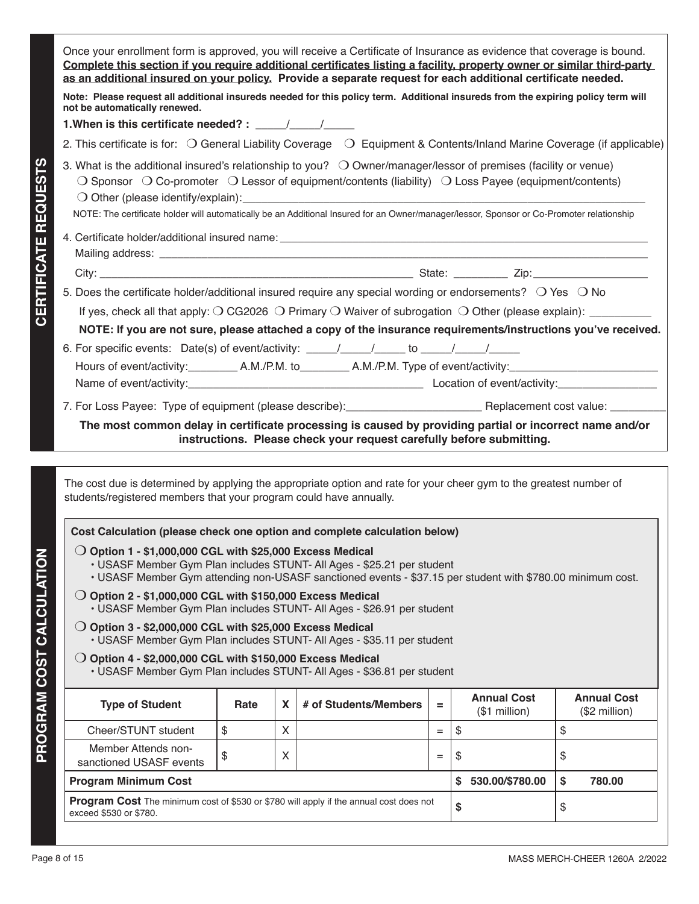|                                 | Once your enrollment form is approved, you will receive a Certificate of Insurance as evidence that coverage is bound.<br>Complete this section if you require additional certificates listing a facility, property owner or similar third-party<br>as an additional insured on your policy. Provide a separate request for each additional certificate needed.                                                                                                                                                                                                                                                                                                                                                                                                                                                                                                                                                                                                                        |                                                                                                                                                                                                                                                                                                                                                                                                                   |   |                                                                      |     |                                      |                                     |  |  |
|---------------------------------|----------------------------------------------------------------------------------------------------------------------------------------------------------------------------------------------------------------------------------------------------------------------------------------------------------------------------------------------------------------------------------------------------------------------------------------------------------------------------------------------------------------------------------------------------------------------------------------------------------------------------------------------------------------------------------------------------------------------------------------------------------------------------------------------------------------------------------------------------------------------------------------------------------------------------------------------------------------------------------------|-------------------------------------------------------------------------------------------------------------------------------------------------------------------------------------------------------------------------------------------------------------------------------------------------------------------------------------------------------------------------------------------------------------------|---|----------------------------------------------------------------------|-----|--------------------------------------|-------------------------------------|--|--|
|                                 | Note: Please request all additional insureds needed for this policy term. Additional insureds from the expiring policy term will<br>not be automatically renewed.                                                                                                                                                                                                                                                                                                                                                                                                                                                                                                                                                                                                                                                                                                                                                                                                                      |                                                                                                                                                                                                                                                                                                                                                                                                                   |   |                                                                      |     |                                      |                                     |  |  |
|                                 | 1. When is this certificate needed? : $\frac{1}{\sqrt{1-\frac{1}{2}}}\frac{1}{\sqrt{1-\frac{1}{2}}}}$                                                                                                                                                                                                                                                                                                                                                                                                                                                                                                                                                                                                                                                                                                                                                                                                                                                                                  |                                                                                                                                                                                                                                                                                                                                                                                                                   |   |                                                                      |     |                                      |                                     |  |  |
|                                 | 2. This certificate is for: O General Liability Coverage O Equipment & Contents/Inland Marine Coverage (if applicable)                                                                                                                                                                                                                                                                                                                                                                                                                                                                                                                                                                                                                                                                                                                                                                                                                                                                 |                                                                                                                                                                                                                                                                                                                                                                                                                   |   |                                                                      |     |                                      |                                     |  |  |
| <b>CERTIFICATE REQUESTS</b>     |                                                                                                                                                                                                                                                                                                                                                                                                                                                                                                                                                                                                                                                                                                                                                                                                                                                                                                                                                                                        | 3. What is the additional insured's relationship to you? $\bigcirc$ Owner/manager/lessor of premises (facility or venue)<br>$\bigcirc$ Sponsor $\bigcirc$ Co-promoter $\bigcirc$ Lessor of equipment/contents (liability) $\bigcirc$ Loss Payee (equipment/contents)<br>NOTE: The certificate holder will automatically be an Additional Insured for an Owner/manager/lessor, Sponsor or Co-Promoter relationship |   |                                                                      |     |                                      |                                     |  |  |
|                                 |                                                                                                                                                                                                                                                                                                                                                                                                                                                                                                                                                                                                                                                                                                                                                                                                                                                                                                                                                                                        |                                                                                                                                                                                                                                                                                                                                                                                                                   |   |                                                                      |     |                                      |                                     |  |  |
|                                 |                                                                                                                                                                                                                                                                                                                                                                                                                                                                                                                                                                                                                                                                                                                                                                                                                                                                                                                                                                                        |                                                                                                                                                                                                                                                                                                                                                                                                                   |   |                                                                      |     |                                      |                                     |  |  |
|                                 | 5. Does the certificate holder/additional insured require any special wording or endorsements? $\bigcirc$ Yes $\bigcirc$ No                                                                                                                                                                                                                                                                                                                                                                                                                                                                                                                                                                                                                                                                                                                                                                                                                                                            |                                                                                                                                                                                                                                                                                                                                                                                                                   |   |                                                                      |     |                                      |                                     |  |  |
|                                 | If yes, check all that apply: $\bigcirc$ CG2026 $\bigcirc$ Primary $\bigcirc$ Waiver of subrogation $\bigcirc$ Other (please explain): _________                                                                                                                                                                                                                                                                                                                                                                                                                                                                                                                                                                                                                                                                                                                                                                                                                                       |                                                                                                                                                                                                                                                                                                                                                                                                                   |   |                                                                      |     |                                      |                                     |  |  |
|                                 | NOTE: If you are not sure, please attached a copy of the insurance requirements/instructions you've received.                                                                                                                                                                                                                                                                                                                                                                                                                                                                                                                                                                                                                                                                                                                                                                                                                                                                          |                                                                                                                                                                                                                                                                                                                                                                                                                   |   |                                                                      |     |                                      |                                     |  |  |
|                                 |                                                                                                                                                                                                                                                                                                                                                                                                                                                                                                                                                                                                                                                                                                                                                                                                                                                                                                                                                                                        |                                                                                                                                                                                                                                                                                                                                                                                                                   |   |                                                                      |     |                                      |                                     |  |  |
|                                 | Hours of event/activity:___________ A.M./P.M. to___________ A.M./P.M. Type of event/activity:_______________________                                                                                                                                                                                                                                                                                                                                                                                                                                                                                                                                                                                                                                                                                                                                                                                                                                                                   |                                                                                                                                                                                                                                                                                                                                                                                                                   |   |                                                                      |     |                                      |                                     |  |  |
|                                 |                                                                                                                                                                                                                                                                                                                                                                                                                                                                                                                                                                                                                                                                                                                                                                                                                                                                                                                                                                                        |                                                                                                                                                                                                                                                                                                                                                                                                                   |   |                                                                      |     |                                      |                                     |  |  |
|                                 | 7. For Loss Payee: Type of equipment (please describe): __________________________ Replacement cost value: ________                                                                                                                                                                                                                                                                                                                                                                                                                                                                                                                                                                                                                                                                                                                                                                                                                                                                    |                                                                                                                                                                                                                                                                                                                                                                                                                   |   |                                                                      |     |                                      |                                     |  |  |
|                                 | The most common delay in certificate processing is caused by providing partial or incorrect name and/or                                                                                                                                                                                                                                                                                                                                                                                                                                                                                                                                                                                                                                                                                                                                                                                                                                                                                |                                                                                                                                                                                                                                                                                                                                                                                                                   |   |                                                                      |     |                                      |                                     |  |  |
|                                 |                                                                                                                                                                                                                                                                                                                                                                                                                                                                                                                                                                                                                                                                                                                                                                                                                                                                                                                                                                                        |                                                                                                                                                                                                                                                                                                                                                                                                                   |   | instructions. Please check your request carefully before submitting. |     |                                      |                                     |  |  |
| <b>PROGRAM COST CALCULATION</b> | The cost due is determined by applying the appropriate option and rate for your cheer gym to the greatest number of<br>students/registered members that your program could have annually.<br>Cost Calculation (please check one option and complete calculation below)<br>$\bigcirc$ Option 1 - \$1,000,000 CGL with \$25,000 Excess Medical<br>• USASF Member Gym Plan includes STUNT- All Ages - \$25.21 per student<br>. USASF Member Gym attending non-USASF sanctioned events - \$37.15 per student with \$780.00 minimum cost.<br>$\bigcirc$ Option 2 - \$1,000,000 CGL with \$150,000 Excess Medical<br>• USASF Member Gym Plan includes STUNT- All Ages - \$26.91 per student<br>$\bigcirc$ Option 3 - \$2,000,000 CGL with \$25,000 Excess Medical<br>• USASF Member Gym Plan includes STUNT- All Ages - \$35.11 per student<br>$\bigcirc$ Option 4 - \$2,000,000 CGL with \$150,000 Excess Medical<br>• USASF Member Gym Plan includes STUNT- All Ages - \$36.81 per student |                                                                                                                                                                                                                                                                                                                                                                                                                   |   |                                                                      |     |                                      |                                     |  |  |
|                                 | <b>Type of Student</b>                                                                                                                                                                                                                                                                                                                                                                                                                                                                                                                                                                                                                                                                                                                                                                                                                                                                                                                                                                 | Rate                                                                                                                                                                                                                                                                                                                                                                                                              | X | # of Students/Members                                                | Ξ.  | <b>Annual Cost</b><br>$($1$ million) | <b>Annual Cost</b><br>(\$2 million) |  |  |
|                                 | Cheer/STUNT student                                                                                                                                                                                                                                                                                                                                                                                                                                                                                                                                                                                                                                                                                                                                                                                                                                                                                                                                                                    | \$                                                                                                                                                                                                                                                                                                                                                                                                                | X |                                                                      | $=$ | \$                                   | \$                                  |  |  |
|                                 | Member Attends non-<br>sanctioned USASF events                                                                                                                                                                                                                                                                                                                                                                                                                                                                                                                                                                                                                                                                                                                                                                                                                                                                                                                                         | \$                                                                                                                                                                                                                                                                                                                                                                                                                | X |                                                                      | $=$ | \$                                   | \$                                  |  |  |
|                                 | <b>Program Minimum Cost</b>                                                                                                                                                                                                                                                                                                                                                                                                                                                                                                                                                                                                                                                                                                                                                                                                                                                                                                                                                            |                                                                                                                                                                                                                                                                                                                                                                                                                   |   |                                                                      |     | 530.00/\$780.00<br>\$                | \$<br>780.00                        |  |  |
|                                 | <b>Program Cost</b> The minimum cost of \$530 or \$780 will apply if the annual cost does not<br>exceed \$530 or \$780.                                                                                                                                                                                                                                                                                                                                                                                                                                                                                                                                                                                                                                                                                                                                                                                                                                                                |                                                                                                                                                                                                                                                                                                                                                                                                                   |   |                                                                      |     | \$                                   | \$                                  |  |  |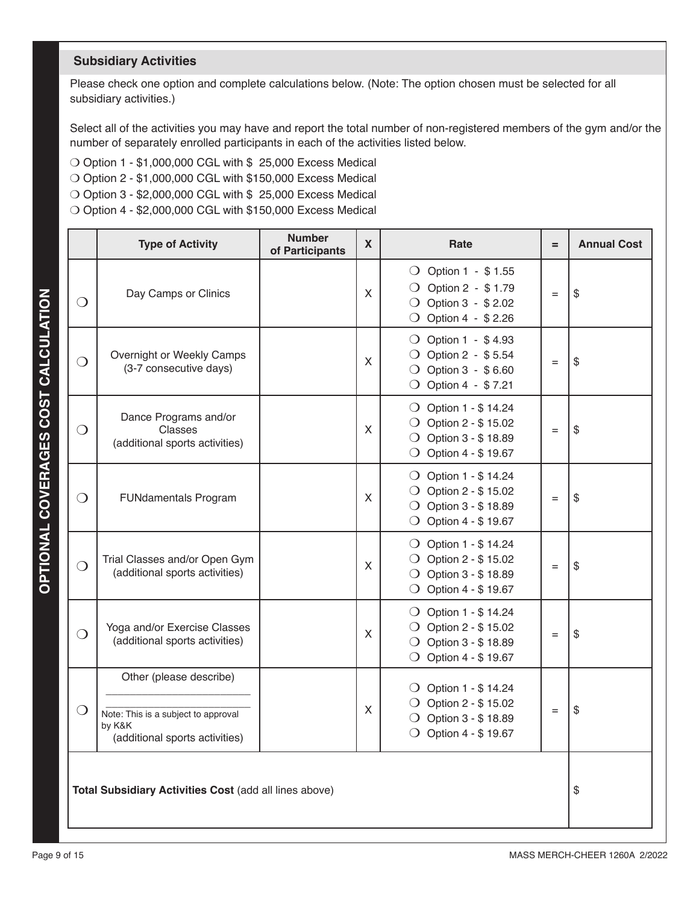# **Subsidiary Activities**

Please check one option and complete calculations below. (Note: The option chosen must be selected for all subsidiary activities.)

Select all of the activities you may have and report the total number of non-registered members of the gym and/or the number of separately enrolled participants in each of the activities listed below.

- $\bigcirc$  Option 1 \$1,000,000 CGL with \$ 25,000 Excess Medical
- $\bigcirc$  Option 2 \$1,000,000 CGL with \$150,000 Excess Medical
- $\bigcirc$  Option 3 \$2,000,000 CGL with \$ 25,000 Excess Medical
- $\bigcirc$  Option 4 \$2,000,000 CGL with \$150,000 Excess Medical

|                                                        | <b>Type of Activity</b>                                                                                    | <b>Number</b><br>$\mathbf x$<br>Rate<br>$=$<br>of Participants |   |                                                                                                                          |     | <b>Annual Cost</b> |
|--------------------------------------------------------|------------------------------------------------------------------------------------------------------------|----------------------------------------------------------------|---|--------------------------------------------------------------------------------------------------------------------------|-----|--------------------|
| $\bigcirc$                                             | Day Camps or Clinics                                                                                       |                                                                | X | ◯ Option 1 - \$1.55<br>○ Option 2 - \$1.79<br>○ Option 3 - \$2.02<br>○ Option 4 - \$2.26                                 | $=$ | \$                 |
| $\bigcirc$                                             | Overnight or Weekly Camps<br>(3-7 consecutive days)                                                        |                                                                | X | ◯ Option 1 - \$4.93<br>○ Option 2 - \$5.54<br>○ Option 3 - \$6.60<br>$\bigcirc$ Option 4 - \$7.21                        | $=$ | \$                 |
| $\Omega$                                               | Dance Programs and/or<br>Classes<br>(additional sports activities)                                         |                                                                | X | $\bigcirc$ Option 1 - \$14.24<br>$\bigcirc$ Option 2 - \$15.02<br>◯ Option 3 - \$18.89<br>$\bigcirc$ Option 4 - \$19.67  | $=$ | \$                 |
| $\odot$                                                | <b>FUNdamentals Program</b>                                                                                |                                                                | X | $\bigcirc$ Option 1 - \$14.24<br>$\bigcirc$ Option 2 - \$15.02<br>○ Option 3 - \$ 18.89<br>$\bigcirc$ Option 4 - \$19.67 | $=$ | \$                 |
| $\bigcirc$                                             | Trial Classes and/or Open Gym<br>(additional sports activities)                                            |                                                                | X | ◯ Option 1 - \$ 14.24<br>$\bigcirc$ Option 2 - \$15.02<br>○ Option 3 - \$ 18.89<br>○ Option 4 - \$ 19.67                 | $=$ | \$                 |
| $\bigcirc$                                             | Yoga and/or Exercise Classes<br>(additional sports activities)                                             |                                                                | X | ◯ Option 1 - \$ 14.24<br>$\bigcirc$ Option 2 - \$15.02<br>◯ Option 3 - \$18.89<br>○ Option 4 - \$ 19.67                  | $=$ | \$                 |
| $\bigcirc$                                             | Other (please describe)<br>Note: This is a subject to approval<br>by K&K<br>(additional sports activities) |                                                                | X | $\bigcirc$ Option 1 - \$14.24<br>○ Option 2 - \$15.02<br>◯ Option 3 - \$18.89<br>◯ Option 4 - \$19.67                    | $=$ | \$                 |
| Total Subsidiary Activities Cost (add all lines above) |                                                                                                            |                                                                |   |                                                                                                                          |     |                    |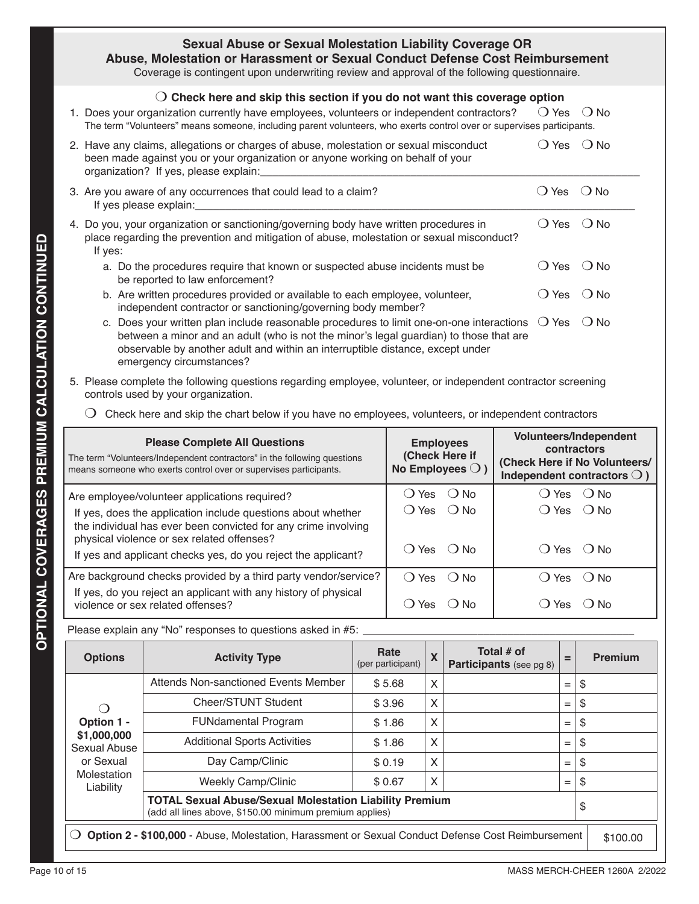| <b>Sexual Abuse or Sexual Molestation Liability Coverage OR</b><br>Abuse, Molestation or Harassment or Sexual Conduct Defense Cost Reimbursement<br>Coverage is contingent upon underwriting review and approval of the following questionnaire.                                                           |                |               |
|------------------------------------------------------------------------------------------------------------------------------------------------------------------------------------------------------------------------------------------------------------------------------------------------------------|----------------|---------------|
| $\bigcirc$ Check here and skip this section if you do not want this coverage option<br>1. Does your organization currently have employees, volunteers or independent contractors?<br>The term "Volunteers" means someone, including parent volunteers, who exerts control over or supervises participants. | () Yes         | $\bigcirc$ No |
| 2. Have any claims, allegations or charges of abuse, molestation or sexual misconduct<br>been made against you or your organization or anyone working on behalf of your<br>organization? If yes, please explain:                                                                                           | $\bigcirc$ Yes | $()$ No       |
| 3. Are you aware of any occurrences that could lead to a claim?<br>If yes please explain:                                                                                                                                                                                                                  | $\bigcirc$ Yes | $()$ No       |
| 4. Do you, your organization or sanctioning/governing body have written procedures in<br>place regarding the prevention and mitigation of abuse, molestation or sexual misconduct?<br>If yes:                                                                                                              | () Yes         | $()$ No       |
| a. Do the procedures require that known or suspected abuse incidents must be<br>be reported to law enforcement?                                                                                                                                                                                            | $\bigcirc$ Yes | $()$ No       |
| b. Are written procedures provided or available to each employee, volunteer,<br>independent contractor or sanctioning/governing body member?                                                                                                                                                               | ∪ Yes          | $\bigcirc$ No |
| c. Does your written plan include reasonable procedures to limit one-on-one interactions<br>between a minor and an adult (who is not the minor's legal guardian) to those that are<br>observable by another adult and within an interruptible distance, except under<br>emergency circumstances?           | $\bigcirc$ Yes | $()$ No       |

- 5. Please complete the following questions regarding employee, volunteer, or independent contractor screening controls used by your organization.
	- $\bigcirc$  Check here and skip the chart below if you have no employees, volunteers, or independent contractors

| <b>Please Complete All Questions</b><br>The term "Volunteers/Independent contractors" in the following questions<br>means someone who exerts control over or supervises participants. | <b>Employees</b><br>(Check Here if<br>No Employees $\bigcirc$ ) | Volunteers/Independent<br>contractors<br>(Check Here if No Volunteers/<br>Independent contractors $\bigcirc$ ) |
|---------------------------------------------------------------------------------------------------------------------------------------------------------------------------------------|-----------------------------------------------------------------|----------------------------------------------------------------------------------------------------------------|
| Are employee/volunteer applications required?                                                                                                                                         | ( ) Yes<br>∴ No                                                 | () Yes () No                                                                                                   |
| If yes, does the application include questions about whether<br>the individual has ever been convicted for any crime involving                                                        | () Yes () No                                                    | $\bigcirc$ Yes $\bigcirc$ No                                                                                   |
| physical violence or sex related offenses?                                                                                                                                            | $()$ Yes $()$ No                                                | $() Yes$ $() No$                                                                                               |
| If yes and applicant checks yes, do you reject the applicant?                                                                                                                         |                                                                 |                                                                                                                |
| Are background checks provided by a third party vendor/service?                                                                                                                       | $()$ Yes $()$ No                                                | Yes<br>∴ O No<br>$\blacksquare$                                                                                |
| If yes, do you reject an applicant with any history of physical<br>violence or sex related offenses?                                                                                  | Yes<br>( ) N∩<br>$\left( \quad \right)$                         | ( ) N∩<br>Yes                                                                                                  |

Please explain any "No" responses to questions asked in #5: \_

| <b>Options</b>                                                                                                            | <b>Activity Type</b>                                                                                                            | Rate<br>(per participant) | X | Total # of<br>Participants (see pg 8) | $=$ | Premium |  |  |
|---------------------------------------------------------------------------------------------------------------------------|---------------------------------------------------------------------------------------------------------------------------------|---------------------------|---|---------------------------------------|-----|---------|--|--|
|                                                                                                                           | Attends Non-sanctioned Events Member                                                                                            | \$5.68                    | X |                                       | $=$ | \$      |  |  |
| $\left( \right)$                                                                                                          | Cheer/STUNT Student                                                                                                             | \$3.96                    | X |                                       | $=$ | \$      |  |  |
| Option 1 -                                                                                                                | <b>FUNdamental Program</b>                                                                                                      | \$1.86                    | X |                                       | $=$ | \$      |  |  |
| \$1,000,000<br>Sexual Abuse                                                                                               | <b>Additional Sports Activities</b>                                                                                             | \$1.86                    | X |                                       | $=$ | \$      |  |  |
| or Sexual                                                                                                                 | Day Camp/Clinic                                                                                                                 | \$0.19                    | X |                                       | $=$ | \$      |  |  |
| Molestation<br>Liability                                                                                                  | <b>Weekly Camp/Clinic</b>                                                                                                       | \$0.67                    | X |                                       | $=$ | \$      |  |  |
|                                                                                                                           | <b>TOTAL Sexual Abuse/Sexual Molestation Liability Premium</b><br>\$<br>(add all lines above, \$150.00 minimum premium applies) |                           |   |                                       |     |         |  |  |
| $\bigcirc$ Option 2 - \$100,000 - Abuse, Molestation, Harassment or Sexual Conduct Defense Cost Reimbursement<br>\$100.00 |                                                                                                                                 |                           |   |                                       |     |         |  |  |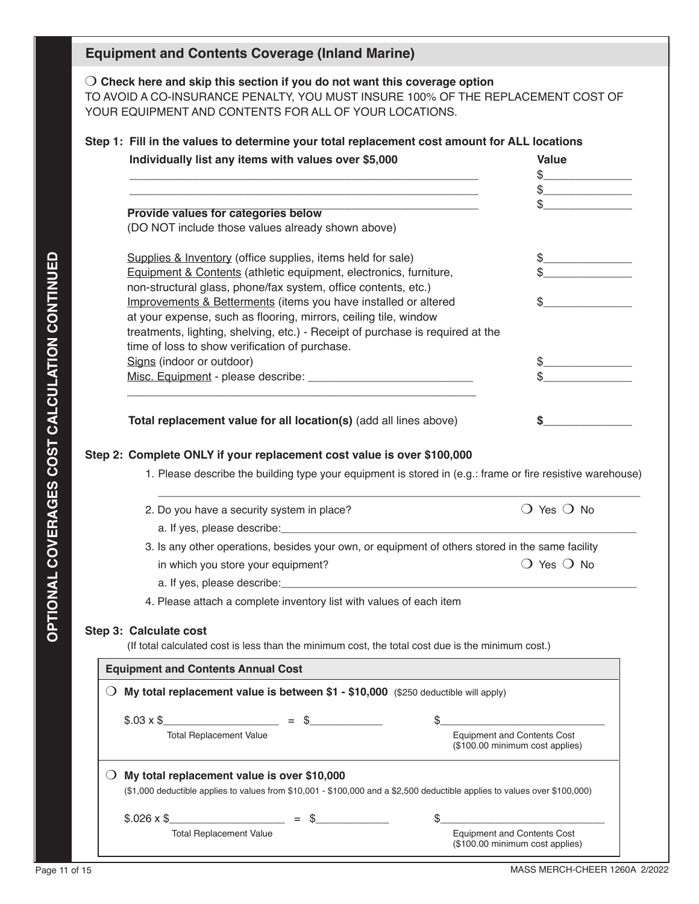# **Equipment and Contents Coverage (Inland Marine)**

m **Check here and skip this section if you do not want this coverage option** TO AVOID A CO-INSURANCE PENALTY, YOU MUST INSURE 100% OF THE REPLACEMENT COST OF YOUR EQUIPMENT AND CONTENTS FOR ALL OF YOUR LOCATIONS.

# **Step 1: Fill in the values to determine your total replacement cost amount for ALL locations**

|                                                                                    | Individually list any items with values over \$5,000                                                                                | <b>Value</b>                                                          |  |  |
|------------------------------------------------------------------------------------|-------------------------------------------------------------------------------------------------------------------------------------|-----------------------------------------------------------------------|--|--|
|                                                                                    |                                                                                                                                     |                                                                       |  |  |
|                                                                                    |                                                                                                                                     | $\frac{1}{2}$                                                         |  |  |
|                                                                                    | Provide values for categories below                                                                                                 | \$                                                                    |  |  |
|                                                                                    | (DO NOT include those values already shown above)                                                                                   |                                                                       |  |  |
|                                                                                    | Supplies & Inventory (office supplies, items held for sale)                                                                         | $\frac{1}{2}$                                                         |  |  |
|                                                                                    | Equipment & Contents (athletic equipment, electronics, furniture,                                                                   |                                                                       |  |  |
|                                                                                    | non-structural glass, phone/fax system, office contents, etc.)                                                                      |                                                                       |  |  |
|                                                                                    | Improvements & Betterments (items you have installed or altered                                                                     | \$                                                                    |  |  |
|                                                                                    | at your expense, such as flooring, mirrors, ceiling tile, window                                                                    |                                                                       |  |  |
|                                                                                    | treatments, lighting, shelving, etc.) - Receipt of purchase is required at the                                                      |                                                                       |  |  |
|                                                                                    | time of loss to show verification of purchase.                                                                                      |                                                                       |  |  |
|                                                                                    | Signs (indoor or outdoor)                                                                                                           | \$                                                                    |  |  |
|                                                                                    |                                                                                                                                     |                                                                       |  |  |
|                                                                                    |                                                                                                                                     |                                                                       |  |  |
|                                                                                    | Total replacement value for all location(s) (add all lines above)                                                                   | \$                                                                    |  |  |
|                                                                                    |                                                                                                                                     |                                                                       |  |  |
|                                                                                    | 2. Do you have a security system in place?                                                                                          | $\bigcirc$ Yes $\bigcirc$ No                                          |  |  |
|                                                                                    |                                                                                                                                     |                                                                       |  |  |
|                                                                                    | 3. Is any other operations, besides your own, or equipment of others stored in the same facility                                    |                                                                       |  |  |
|                                                                                    | in which you store your equipment?                                                                                                  | $\bigcirc$ Yes $\bigcirc$ No                                          |  |  |
|                                                                                    |                                                                                                                                     |                                                                       |  |  |
|                                                                                    | 4. Please attach a complete inventory list with values of each item                                                                 |                                                                       |  |  |
|                                                                                    |                                                                                                                                     |                                                                       |  |  |
|                                                                                    | Step 3: Calculate cost                                                                                                              |                                                                       |  |  |
|                                                                                    | (If total calculated cost is less than the minimum cost, the total cost due is the minimum cost.)                                   |                                                                       |  |  |
|                                                                                    | <b>Equipment and Contents Annual Cost</b>                                                                                           |                                                                       |  |  |
| My total replacement value is between \$1 - \$10,000 (\$250 deductible will apply) |                                                                                                                                     |                                                                       |  |  |
|                                                                                    | $$.03 \times $$ = \$                                                                                                                | \$                                                                    |  |  |
|                                                                                    | <b>Total Replacement Value</b>                                                                                                      | <b>Equipment and Contents Cost</b><br>(\$100.00 minimum cost applies) |  |  |
| $\cup$                                                                             | My total replacement value is over \$10,000                                                                                         |                                                                       |  |  |
|                                                                                    | $(\$1,000$ deductible applies to values from $\$10,001$ - $\$100,000$ and a $\$2,500$ deductible applies to values over $\$100,000$ |                                                                       |  |  |
|                                                                                    | $$.026 \times $$<br>$=$ \$                                                                                                          | \$                                                                    |  |  |
|                                                                                    | <b>Total Replacement Value</b>                                                                                                      | <b>Equipment and Contents Cost</b><br>(\$100.00 minimum cost applies) |  |  |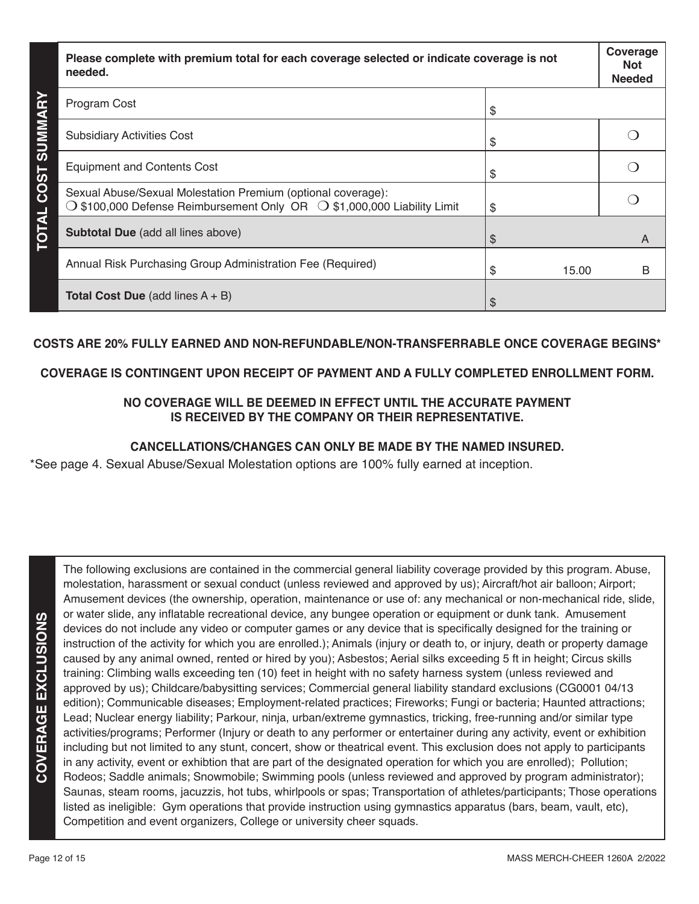| Please complete with premium total for each coverage selected or indicate coverage is not<br>needed.                                                      |            |   |
|-----------------------------------------------------------------------------------------------------------------------------------------------------------|------------|---|
| Program Cost                                                                                                                                              | S          |   |
| <b>COST SUMM</b><br><b>Subsidiary Activities Cost</b>                                                                                                     | \$         |   |
| <b>Equipment and Contents Cost</b>                                                                                                                        | \$         |   |
| Sexual Abuse/Sexual Molestation Premium (optional coverage):<br>$\bigcirc$ \$100,000 Defense Reimbursement Only OR $\bigcirc$ \$1,000,000 Liability Limit | \$         |   |
| <b>TOTAL</b><br>Subtotal Due (add all lines above)                                                                                                        | \$         | A |
| Annual Risk Purchasing Group Administration Fee (Required)                                                                                                | S<br>15.00 | B |
| <b>Total Cost Due</b> (add lines $A + B$ )                                                                                                                | \$         |   |

### **COSTS ARE 20% FULLY EARNED AND NON-REFUNDABLE/NON-TRANSFERRABLE ONCE COVERAGE BEGINS\***

### **COVERAGE IS CONTINGENT UPON RECEIPT OF PAYMENT AND A FULLY COMPLETED ENROLLMENT FORM.**

## **NO COVERAGE WILL BE DEEMED IN EFFECT UNTIL THE ACCURATE PAYMENT IS RECEIVED BY THE COMPANY OR THEIR REPRESENTATIVE.**

# **CANCELLATIONS/CHANGES CAN ONLY BE MADE BY THE NAMED INSURED.**

\*See page 4. Sexual Abuse/Sexual Molestation options are 100% fully earned at inception.

COVERAGE EXCLUSIONS **COVERAGE EXCLUSIONS** The following exclusions are contained in the commercial general liability coverage provided by this program. Abuse, molestation, harassment or sexual conduct (unless reviewed and approved by us); Aircraft/hot air balloon; Airport; Amusement devices (the ownership, operation, maintenance or use of: any mechanical or non-mechanical ride, slide, or water slide, any inflatable recreational device, any bungee operation or equipment or dunk tank. Amusement devices do not include any video or computer games or any device that is specifically designed for the training or instruction of the activity for which you are enrolled.); Animals (injury or death to, or injury, death or property damage caused by any animal owned, rented or hired by you); Asbestos; Aerial silks exceeding 5 ft in height; Circus skills training: Climbing walls exceeding ten (10) feet in height with no safety harness system (unless reviewed and approved by us); Childcare/babysitting services; Commercial general liability standard exclusions (CG0001 04/13 edition); Communicable diseases; Employment-related practices; Fireworks; Fungi or bacteria; Haunted attractions; Lead; Nuclear energy liability; Parkour, ninja, urban/extreme gymnastics, tricking, free-running and/or similar type activities/programs; Performer (Injury or death to any performer or entertainer during any activity, event or exhibition including but not limited to any stunt, concert, show or theatrical event. This exclusion does not apply to participants in any activity, event or exhibtion that are part of the designated operation for which you are enrolled); Pollution; Rodeos; Saddle animals; Snowmobile; Swimming pools (unless reviewed and approved by program administrator); Saunas, steam rooms, jacuzzis, hot tubs, whirlpools or spas; Transportation of athletes/participants; Those operations listed as ineligible: Gym operations that provide instruction using gymnastics apparatus (bars, beam, vault, etc), Competition and event organizers, College or university cheer squads.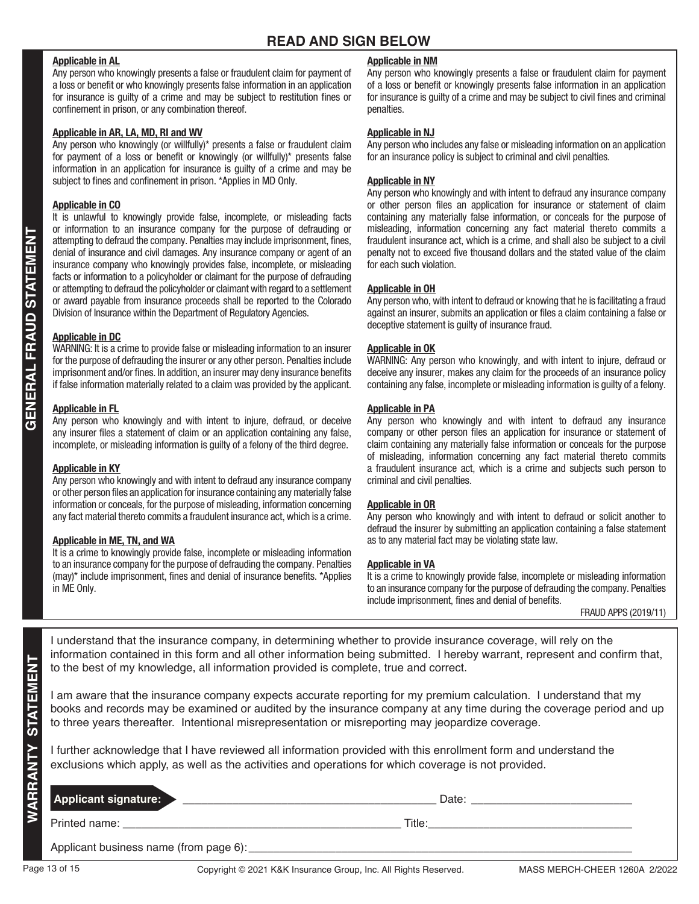### **Applicable in AL**

Any person who knowingly presents a false or fraudulent claim for payment of a loss or benefit or who knowingly presents false information in an application for insurance is guilty of a crime and may be subject to restitution fines or confinement in prison, or any combination thereof.

#### **Applicable in AR, LA, MD, RI and WV**

Any person who knowingly (or willfully)\* presents a false or fraudulent claim for payment of a loss or benefit or knowingly (or willfully)\* presents false information in an application for insurance is guilty of a crime and may be subject to fines and confinement in prison. \*Applies in MD Only.

#### **Applicable in CO**

It is unlawful to knowingly provide false, incomplete, or misleading facts or information to an insurance company for the purpose of defrauding or attempting to defraud the company. Penalties may include imprisonment, fines, denial of insurance and civil damages. Any insurance company or agent of an insurance company who knowingly provides false, incomplete, or misleading facts or information to a policyholder or claimant for the purpose of defrauding or attempting to defraud the policyholder or claimant with regard to a settlement or award payable from insurance proceeds shall be reported to the Colorado Division of Insurance within the Department of Regulatory Agencies.

#### **Applicable in DC**

WARNING: It is a crime to provide false or misleading information to an insurer for the purpose of defrauding the insurer or any other person. Penalties include imprisonment and/or fines. In addition, an insurer may deny insurance benefits if false information materially related to a claim was provided by the applicant.

#### **Applicable in FL**

Any person who knowingly and with intent to injure, defraud, or deceive any insurer files a statement of claim or an application containing any false, incomplete, or misleading information is guilty of a felony of the third degree.

#### **Applicable in KY**

Any person who knowingly and with intent to defraud any insurance company or other person files an application for insurance containing any materially false information or conceals, for the purpose of misleading, information concerning any fact material thereto commits a fraudulent insurance act, which is a crime.

#### **Applicable in ME, TN, and WA**

It is a crime to knowingly provide false, incomplete or misleading information to an insurance company for the purpose of defrauding the company. Penalties (may)\* include imprisonment, fines and denial of insurance benefits. \*Applies in ME Only.

#### **Applicable in NM**

Any person who knowingly presents a false or fraudulent claim for payment of a loss or benefit or knowingly presents false information in an application for insurance is guilty of a crime and may be subject to civil fines and criminal penalties.

#### **Applicable in NJ**

Any person who includes any false or misleading information on an application for an insurance policy is subject to criminal and civil penalties.

#### **Applicable in NY**

Any person who knowingly and with intent to defraud any insurance company or other person files an application for insurance or statement of claim containing any materially false information, or conceals for the purpose of misleading, information concerning any fact material thereto commits a fraudulent insurance act, which is a crime, and shall also be subject to a civil penalty not to exceed five thousand dollars and the stated value of the claim for each such violation.

#### **Applicable in OH**

Any person who, with intent to defraud or knowing that he is facilitating a fraud against an insurer, submits an application or files a claim containing a false or deceptive statement is guilty of insurance fraud.

#### **Applicable in OK**

WARNING: Any person who knowingly, and with intent to injure, defraud or deceive any insurer, makes any claim for the proceeds of an insurance policy containing any false, incomplete or misleading information is guilty of a felony.

#### **Applicable in PA**

Any person who knowingly and with intent to defraud any insurance company or other person files an application for insurance or statement of claim containing any materially false information or conceals for the purpose of misleading, information concerning any fact material thereto commits a fraudulent insurance act, which is a crime and subjects such person to criminal and civil penalties.

#### **Applicable in OR**

Any person who knowingly and with intent to defraud or solicit another to defraud the insurer by submitting an application containing a false statement as to any material fact may be violating state law.

#### **Applicable in VA**

It is a crime to knowingly provide false, incomplete or misleading information to an insurance company for the purpose of defrauding the company. Penalties include imprisonment, fines and denial of benefits.

FRAUD APPS (2019/11)

I understand that the insurance company, in determining whether to provide insurance coverage, will rely on the information contained in this form and all other information being submitted. I hereby warrant, represent and confirm that, to the best of my knowledge, all information provided is complete, true and correct.

|                 |                                                                                                                                                                                                                                                                                                                                             | imonnation contained in this form and all other imonnation being submitted. Thereby warrant, represent and commitmat,<br>to the best of my knowledge, all information provided is complete, true and correct.                  |                               |  |
|-----------------|---------------------------------------------------------------------------------------------------------------------------------------------------------------------------------------------------------------------------------------------------------------------------------------------------------------------------------------------|--------------------------------------------------------------------------------------------------------------------------------------------------------------------------------------------------------------------------------|-------------------------------|--|
| <b>STATEMEN</b> | am aware that the insurance company expects accurate reporting for my premium calculation. I understand that my<br>books and records may be examined or audited by the insurance company at any time during the coverage period and up<br>to three years thereafter. Intentional misrepresentation or misreporting may jeopardize coverage. |                                                                                                                                                                                                                                |                               |  |
|                 | I further acknowledge that I have reviewed all information provided with this enrollment form and understand the<br>exclusions which apply, as well as the activities and operations for which coverage is not provided.                                                                                                                    |                                                                                                                                                                                                                                |                               |  |
| <b>WARRAN</b>   |                                                                                                                                                                                                                                                                                                                                             | Applicant signature: XXXVIII Services Applicant Signature:                                                                                                                                                                     |                               |  |
|                 |                                                                                                                                                                                                                                                                                                                                             | Title: The contract of the contract of the contract of the contract of the contract of the contract of the contract of the contract of the contract of the contract of the contract of the contract of the contract of the con |                               |  |
|                 |                                                                                                                                                                                                                                                                                                                                             |                                                                                                                                                                                                                                |                               |  |
|                 | Page 13 of 15                                                                                                                                                                                                                                                                                                                               | Copyright © 2021 K&K Insurance Group, Inc. All Rights Reserved.                                                                                                                                                                | MASS MERCH-CHEER 1260A 2/2022 |  |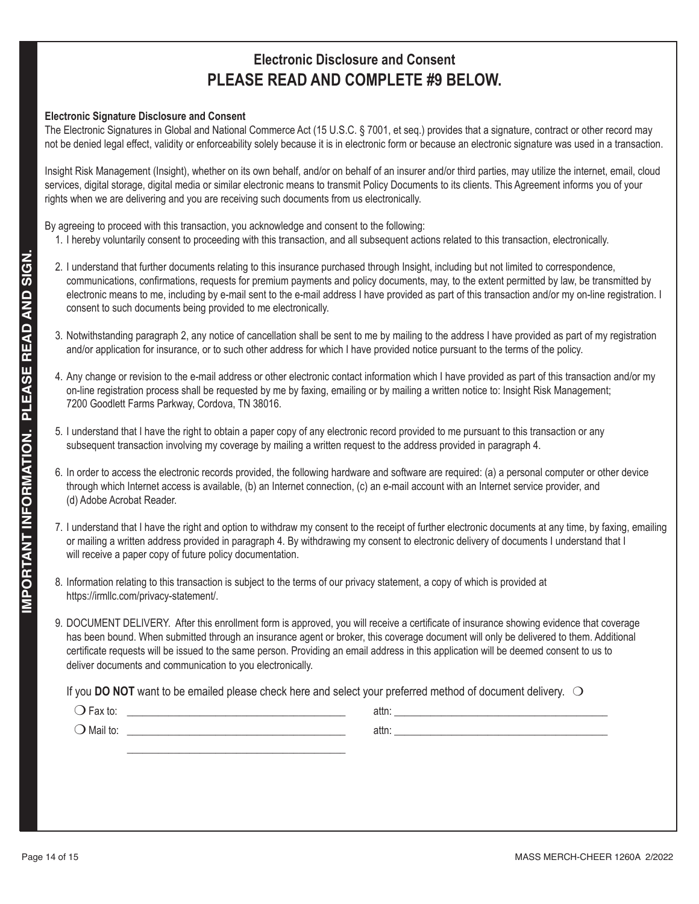# **Electronic Disclosure and Consent PLEASE READ AND COMPLETE #9 BELOW.**

### **Electronic Signature Disclosure and Consent**

The Electronic Signatures in Global and National Commerce Act (15 U.S.C. § 7001, et seq.) provides that a signature, contract or other record may not be denied legal effect, validity or enforceability solely because it is in electronic form or because an electronic signature was used in a transaction.

Insight Risk Management (Insight), whether on its own behalf, and/or on behalf of an insurer and/or third parties, may utilize the internet, email, cloud services, digital storage, digital media or similar electronic means to transmit Policy Documents to its clients. This Agreement informs you of your rights when we are delivering and you are receiving such documents from us electronically.

By agreeing to proceed with this transaction, you acknowledge and consent to the following:

- 1. I hereby voluntarily consent to proceeding with this transaction, and all subsequent actions related to this transaction, electronically.
- **Payer and the forest consent in this property of the the method frequency is that in the provides a method from the method frequencies of the method frequency in the method frequency of the method frequency and the provid** 2. I understand that further documents relating to this insurance purchased through Insight, including but not limited to correspondence, communications, confirmations, requests for premium payments and policy documents, may, to the extent permitted by law, be transmitted by electronic means to me, including by e-mail sent to the e-mail address I have provided as part of this transaction and/or my on-line registration. I consent to such documents being provided to me electronically.
	- 3. Notwithstanding paragraph 2, any notice of cancellation shall be sent to me by mailing to the address I have provided as part of my registration and/or application for insurance, or to such other address for which I have provided notice pursuant to the terms of the policy.
	- 4. Any change or revision to the e-mail address or other electronic contact information which I have provided as part of this transaction and/or my on-line registration process shall be requested by me by faxing, emailing or by mailing a written notice to: Insight Risk Management; 7200 Goodlett Farms Parkway, Cordova, TN 38016.
	- 5. I understand that I have the right to obtain a paper copy of any electronic record provided to me pursuant to this transaction or any subsequent transaction involving my coverage by mailing a written request to the address provided in paragraph 4.
	- 6. In order to access the electronic records provided, the following hardware and software are required: (a) a personal computer or other device through which Internet access is available, (b) an Internet connection, (c) an e-mail account with an Internet service provider, and (d) Adobe Acrobat Reader.
	- 7. I understand that I have the right and option to withdraw my consent to the receipt of further electronic documents at any time, by faxing, emailing or mailing a written address provided in paragraph 4. By withdrawing my consent to electronic delivery of documents I understand that I will receive a paper copy of future policy documentation.
	- 8. Information relating to this transaction is subject to the terms of our privacy statement, a copy of which is provided at https://irmllc.com/privacy-statement/.
	- 9. DOCUMENT DELIVERY. After this enrollment form is approved, you will receive a certificate of insurance showing evidence that coverage has been bound. When submitted through an insurance agent or broker, this coverage document will only be delivered to them. Additional certificate requests will be issued to the same person. Providing an email address in this application will be deemed consent to us to deliver documents and communication to you electronically.

If you **DO NOT** want to be emailed please check here and select your preferred method of document delivery.  $\bigcirc$ 

| ⊢ax to:             | attn: |  |
|---------------------|-------|--|
| $\bigcirc$ Mail to: | attn: |  |
|                     |       |  |